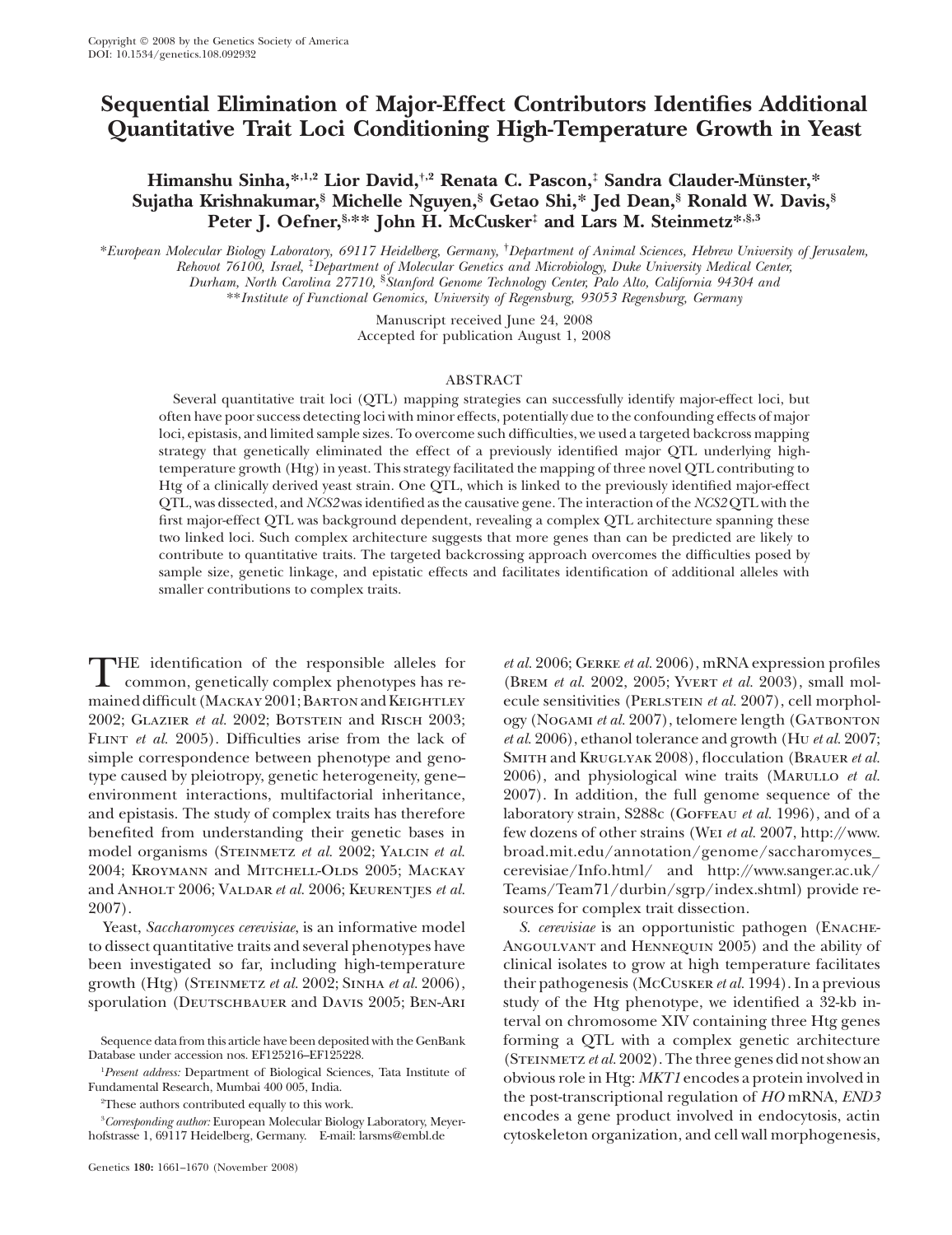# Sequential Elimination of Major-Effect Contributors Identifies Additional Quantitative Trait Loci Conditioning High-Temperature Growth in Yeast

Himanshu Sinha,\*,1,2 Lior David,<sup>+,2</sup> Renata C. Pascon,<sup>†</sup> Sandra Clauder-Münster,\* Sujatha Krishnakumar,§ Michelle Nguyen,§ Getao Shi,\* Jed Dean,§ Ronald W. Davis,§ Peter J. Oefner, §, \*\* John H. McCusker‡ and Lars M. Steinmetz\*, §,3

\**European Molecular Biology Laboratory, 69117 Heidelberg, Germany,* †*Department of Animal Sciences, Hebrew University of Jerusalem, Rehovot 76100, Israel,* ‡*Department of Molecular Genetics and Microbiology, Duke University Medical Center, Durham, North Carolina 27710,* § *Stanford Genome Technology Center, Palo Alto, California 94304 and* \*\**Institute of Functional Genomics, University of Regensburg, 93053 Regensburg, Germany*

> Manuscript received June 24, 2008 Accepted for publication August 1, 2008

# ABSTRACT

Several quantitative trait loci (QTL) mapping strategies can successfully identify major-effect loci, but often have poor success detecting loci with minor effects, potentially due to the confounding effects of major loci, epistasis, and limited sample sizes. To overcome such difficulties, we used a targeted backcross mapping strategy that genetically eliminated the effect of a previously identified major QTL underlying hightemperature growth (Htg) in yeast. This strategy facilitated the mapping of three novel QTL contributing to Htg of a clinically derived yeast strain. One QTL, which is linked to the previously identified major-effect QTL, was dissected, and *NCS2* was identified as the causative gene. The interaction of the*NCS2* QTL with the first major-effect QTL was background dependent, revealing a complex QTL architecture spanning these two linked loci. Such complex architecture suggests that more genes than can be predicted are likely to contribute to quantitative traits. The targeted backcrossing approach overcomes the difficulties posed by sample size, genetic linkage, and epistatic effects and facilitates identification of additional alleles with smaller contributions to complex traits.

THE identification of the responsible alleles for<br>common, genetically complex phenotypes has recommon, genetically complex phenotypes has remained difficult (MACKAY 2001; BARTON and KEIGHTLEY 2002; GLAZIER *et al.* 2002; BOTSTEIN and RISCH 2003; FLINT *et al.* 2005). Difficulties arise from the lack of simple correspondence between phenotype and genotype caused by pleiotropy, genetic heterogeneity, gene– environment interactions, multifactorial inheritance, and epistasis. The study of complex traits has therefore benefited from understanding their genetic bases in model organisms (STEINMETZ *et al.* 2002; YALCIN *et al.* 2004; Kroymann and Mitchell-Olds 2005; Mackay and ANHOLT 2006; VALDAR *et al.* 2006; KEURENTJES *et al.* 2007).

Yeast, *Saccharomyces cerevisiae*, is an informative model to dissect quantitative traits and several phenotypes have been investigated so far, including high-temperature growth (Htg) (Steinmetz *et al.* 2002; Sinha *et al.* 2006), sporulation (DEUTSCHBAUER and DAVIS 2005; BEN-ARI

Sequence data from this article have been deposited with the GenBank Database under accession nos. EF125216–EF125228.

<sup>1</sup>*Present address:* Department of Biological Sciences, Tata Institute of Fundamental Research, Mumbai 400 005, India.

<sup>2</sup>These authors contributed equally to this work.

<sup>3</sup>*Corresponding author:* European Molecular Biology Laboratory, Meyerhofstrasse 1, 69117 Heidelberg, Germany. E-mail: larsms@embl.de

*et al.* 2006; Gerke *et al.* 2006), mRNA expression profiles (BREM *et al.* 2002, 2005; YVERT *et al.* 2003), small molecule sensitivities (PERLSTEIN *et al.* 2007), cell morphology (NoGAMI et al. 2007), telomere length (GATBONTON *et al.* 2006), ethanol tolerance and growth (Hu *et al.* 2007; Smith and Kruglyak 2008), flocculation (Brauer *et al.* 2006), and physiological wine traits (Marullo *et al.* 2007). In addition, the full genome sequence of the laboratory strain, S288c (GOFFEAU *et al.* 1996), and of a few dozens of other strains (Wei *et al.* 2007, http://www. broad.mit.edu/annotation/genome/saccharomyces\_ cerevisiae/Info.html/ and http://www.sanger.ac.uk/ Teams/Team71/durbin/sgrp/index.shtml) provide resources for complex trait dissection.

*S. cerevisiae* is an opportunistic pathogen (Enache-Angoulvant and Hennequin 2005) and the ability of clinical isolates to grow at high temperature facilitates their pathogenesis (McCusker *et al.* 1994). In a previous study of the Htg phenotype, we identified a 32-kb interval on chromosome XIV containing three Htg genes forming a QTL with a complex genetic architecture (Steinmetz *et al.* 2002). The three genes did not show an obvious role in Htg: *MKT1* encodes a protein involved in the post-transcriptional regulation of *HO* mRNA, *END3* encodes a gene product involved in endocytosis, actin cytoskeleton organization, and cell wall morphogenesis,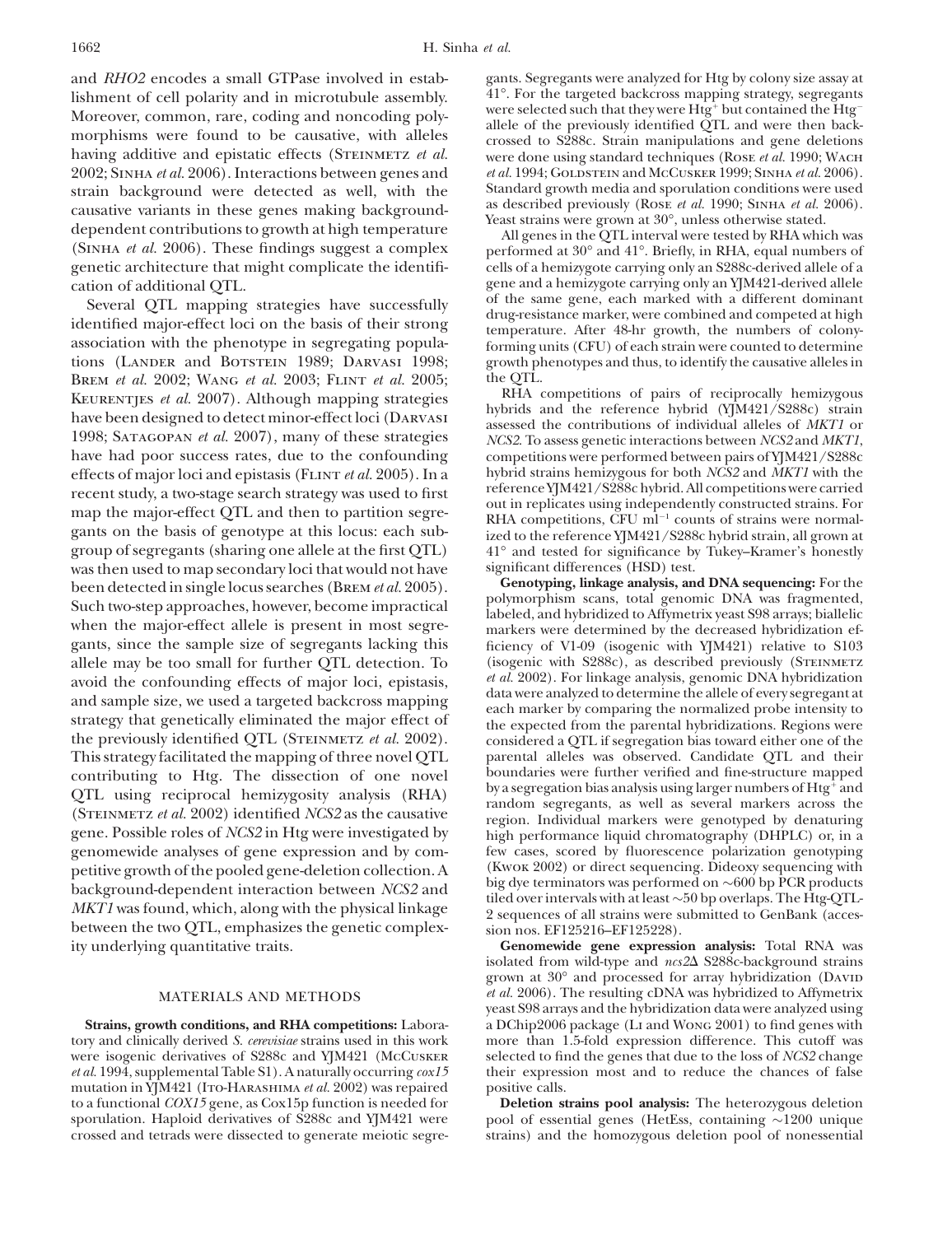and *RHO2* encodes a small GTPase involved in establishment of cell polarity and in microtubule assembly. Moreover, common, rare, coding and noncoding polymorphisms were found to be causative, with alleles having additive and epistatic effects (STEINMETZ et al. 2002; Sinha *et al.* 2006). Interactions between genes and strain background were detected as well, with the causative variants in these genes making backgrounddependent contributions to growth at high temperature (Sinha *et al.* 2006). These findings suggest a complex genetic architecture that might complicate the identification of additional QTL.

Several QTL mapping strategies have successfully identified major-effect loci on the basis of their strong association with the phenotype in segregating populations (LANDER and BOTSTEIN 1989; DARVASI 1998; BREM *et al.* 2002; WANG *et al.* 2003; FLINT *et al.* 2005; Keurentjes *et al.* 2007). Although mapping strategies have been designed to detect minor-effect loci (Darvasi 1998; Satagopan *et al.* 2007), many of these strategies have had poor success rates, due to the confounding effects of major loci and epistasis (FLINT *et al.* 2005). In a recent study, a two-stage search strategy was used to first map the major-effect QTL and then to partition segregants on the basis of genotype at this locus: each subgroup of segregants (sharing one allele at the first QTL) was then used to map secondary loci that would not have been detected in single locus searches (Brem *et al.* 2005). Such two-step approaches, however, become impractical when the major-effect allele is present in most segregants, since the sample size of segregants lacking this allele may be too small for further QTL detection. To avoid the confounding effects of major loci, epistasis, and sample size, we used a targeted backcross mapping strategy that genetically eliminated the major effect of the previously identified QTL (STEINMETZ et al. 2002). This strategy facilitated the mapping of three novel QTL contributing to Htg. The dissection of one novel QTL using reciprocal hemizygosity analysis (RHA) (Steinmetz *et al.* 2002) identified *NCS2* as the causative gene. Possible roles of *NCS2* in Htg were investigated by genomewide analyses of gene expression and by competitive growth of the pooled gene-deletion collection. A background-dependent interaction between *NCS2* and *MKT1* was found, which, along with the physical linkage between the two QTL, emphasizes the genetic complexity underlying quantitative traits.

# MATERIALS AND METHODS

Strains, growth conditions, and RHA competitions: Laboratory and clinically derived *S. cerevisiae* strains used in this work were isogenic derivatives of S288c and YJM421 (McCusker *et al.* 1994, supplemental Table S1). A naturally occurring *cox15* mutation in YJM421 (Iто-Накаѕнима et al. 2002) was repaired to a functional *COX15* gene, as Cox15p function is needed for sporulation. Haploid derivatives of S288c and YJM421 were crossed and tetrads were dissected to generate meiotic segregants. Segregants were analyzed for Htg by colony size assay at 41°. For the targeted backcross mapping strategy, segregants were selected such that they were  $\overline{\text{Hig}^+}$  but contained the  $\overline{\text{Hig}^-}$ allele of the previously identified QTL and were then backcrossed to S288c. Strain manipulations and gene deletions were done using standard techniques (Rose *et al.* 1990; Wach *et al.* 1994; GOLDSTEIN and McCusker 1999; SINHA *et al.* 2006). Standard growth media and sporulation conditions were used as described previously (Rose *et al.* 1990; Sinha *et al.* 2006). Yeast strains were grown at 30°, unless otherwise stated.

All genes in the QTL interval were tested by RHA which was performed at 30° and 41°. Briefly, in RHA, equal numbers of cells of a hemizygote carrying only an S288c-derived allele of a gene and a hemizygote carrying only an YJM421-derived allele of the same gene, each marked with a different dominant drug-resistance marker, were combined and competed at high temperature. After 48-hr growth, the numbers of colonyforming units (CFU) of each strain were counted to determine growth phenotypes and thus, to identify the causative alleles in the QTL.

RHA competitions of pairs of reciprocally hemizygous hybrids and the reference hybrid (YJM421/S288c) strain assessed the contributions of individual alleles of *MKT1* or *NCS2*. To assess genetic interactions between *NCS2* and *MKT1*, competitions were performed between pairs of YJM421/S288c hybrid strains hemizygous for both *NCS2* and *MKT1* with the reference YJM421/S288c hybrid. All competitions were carried out in replicates using independently constructed strains. For RHA competitions, CFU  $\text{m}$ <sup>1-1</sup> counts of strains were normalized to the reference YJM421/S288c hybrid strain, all grown at 41° and tested for significance by Tukey–Kramer's honestly significant differences (HSD) test.

Genotyping, linkage analysis, and DNA sequencing: For the polymorphism scans, total genomic DNA was fragmented, labeled, and hybridized to Affymetrix yeast S98 arrays; biallelic markers were determined by the decreased hybridization efficiency of V1-09 (isogenic with YJM421) relative to S103 (isogenic with S288c), as described previously (STEINMETZ *et al.* 2002). For linkage analysis, genomic DNA hybridization data were analyzed to determine the allele of every segregant at each marker by comparing the normalized probe intensity to the expected from the parental hybridizations. Regions were considered a QTL if segregation bias toward either one of the parental alleles was observed. Candidate QTL and their boundaries were further verified and fine-structure mapped by a segregation bias analysis using larger numbers of Htg $^\ddag$  and random segregants, as well as several markers across the region. Individual markers were genotyped by denaturing high performance liquid chromatography (DHPLC) or, in a few cases, scored by fluorescence polarization genotyping (Kwok 2002) or direct sequencing. Dideoxy sequencing with big dye terminators was performed on  $\sim 600$  bp PCR products tiled over intervals with at least  $\sim$  50 bp overlaps. The Htg-QTL-2 sequences of all strains were submitted to GenBank (accession nos. EF125216–EF125228).

Genomewide gene expression analysis: Total RNA was isolated from wild-type and *ncs2*D S288c-background strains grown at  $30^{\circ}$  and processed for array hybridization (DAVID *et al.* 2006). The resulting cDNA was hybridized to Affymetrix yeast S98 arrays and the hybridization data were analyzed using a DChip2006 package (Li and Wong 2001) to find genes with more than 1.5-fold expression difference. This cutoff was selected to find the genes that due to the loss of *NCS2* change their expression most and to reduce the chances of false positive calls.

Deletion strains pool analysis: The heterozygous deletion pool of essential genes (HetEss, containing  $\sim$ 1200 unique strains) and the homozygous deletion pool of nonessential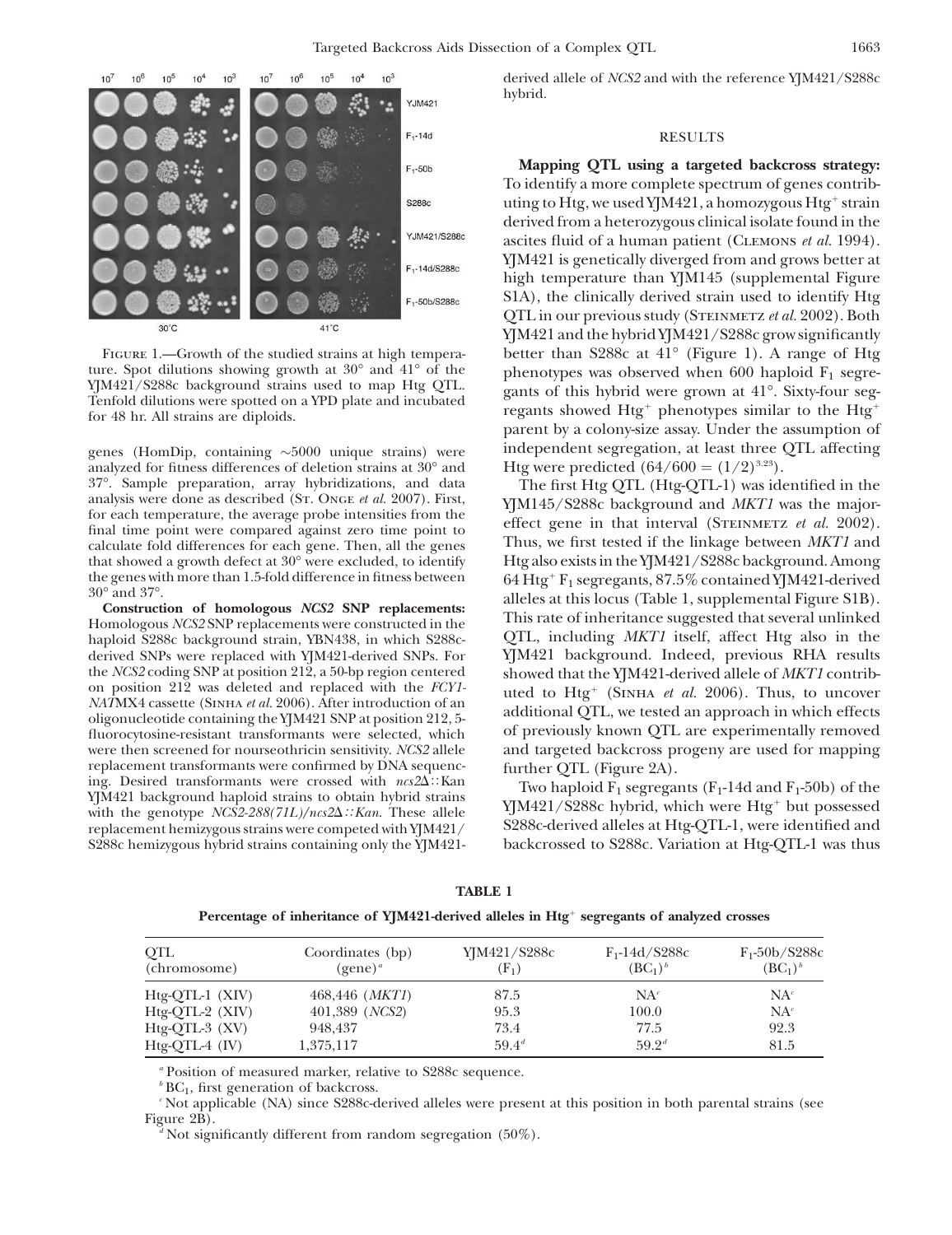

FIGURE 1.—Growth of the studied strains at high temperature. Spot dilutions showing growth at  $30^{\circ}$  and  $41^{\circ}$  of the YJM421/S288c background strains used to map Htg QTL. Tenfold dilutions were spotted on a YPD plate and incubated for 48 hr. All strains are diploids.

genes (HomDip, containing  $\sim$ 5000 unique strains) were analyzed for fitness differences of deletion strains at 30° and 37. Sample preparation, array hybridizations, and data analysis were done as described (St. Onge *et al.* 2007). First, for each temperature, the average probe intensities from the final time point were compared against zero time point to calculate fold differences for each gene. Then, all the genes that showed a growth defect at  $30^{\circ}$  were excluded, to identify the genes with more than 1.5-fold difference in fitness between 30° and 37°.

Construction of homologous NCS2 SNP replacements: Homologous *NCS2* SNP replacements were constructed in the haploid S288c background strain, YBN438, in which S288cderived SNPs were replaced with YJM421-derived SNPs. For the *NCS2* coding SNP at position 212, a 50-bp region centered on position 212 was deleted and replaced with the *FCY1- NAT*MX4 cassette (Sinha *et al.* 2006). After introduction of an oligonucleotide containing the YJM421 SNP at position 212, 5 fluorocytosine-resistant transformants were selected, which were then screened for nourseothricin sensitivity. *NCS2* allele replacement transformants were confirmed by DNA sequencing. Desired transformants were crossed with  $ncs2\Delta$ : Kan YJM421 background haploid strains to obtain hybrid strains with the genotype  $NCS2-288(71L)/ncs2\Delta$ *::Kan*. These allele replacement hemizygous strains were competed with YJM421/ S288c hemizygous hybrid strains containing only the YJM421derived allele of *NCS2* and with the reference YJM421/S288c hybrid.

## RESULTS

Mapping QTL using a targeted backcross strategy: To identify a more complete spectrum of genes contributing to Htg, we used YJM421, a homozygous Htg<sup>+</sup> strain derived from a heterozygous clinical isolate found in the ascites fluid of a human patient (Clemons *et al.* 1994). YJM421 is genetically diverged from and grows better at high temperature than YJM145 (supplemental Figure S1A), the clinically derived strain used to identify Htg QTL in our previous study (Steinmetz *et al.* 2002). Both YJM421 and the hybrid YJM421/S288c grow significantly better than S288c at  $41^{\circ}$  (Figure 1). A range of Htg phenotypes was observed when 600 haploid  $F_1$  segregants of this hybrid were grown at  $41^\circ$ . Sixty-four segregants showed Htg<sup>+</sup> phenotypes similar to the Htg<sup>+</sup> parent by a colony-size assay. Under the assumption of independent segregation, at least three QTL affecting Htg were predicted  $(64/600) = (1/2)^{3.23}$ .

The first Htg QTL (Htg-QTL-1) was identified in the YJM145/S288c background and *MKT1* was the majoreffect gene in that interval (STEINMETZ *et al.* 2002). Thus, we first tested if the linkage between *MKT1* and Htg also exists in the YJM421/S288c background. Among  $64$  Htg<sup>+</sup> F<sub>1</sub> segregants,  $87.5\%$  contained YJM421-derived alleles at this locus (Table 1, supplemental Figure S1B). This rate of inheritance suggested that several unlinked QTL, including *MKT1* itself, affect Htg also in the YJM421 background. Indeed, previous RHA results showed that the YJM421-derived allele of *MKT1* contributed to Htg<sup>+</sup> (SINHA *et al.* 2006). Thus, to uncover additional QTL, we tested an approach in which effects of previously known QTL are experimentally removed and targeted backcross progeny are used for mapping further QTL (Figure 2A).

Two haploid  $F_1$  segregants ( $F_1$ -14d and  $F_1$ -50b) of the YJM421/S288c hybrid, which were Htg<sup>+</sup> but possessed S288c-derived alleles at Htg-QTL-1, were identified and backcrossed to S288c. Variation at Htg-QTL-1 was thus

| QTL<br>(chromosome) | Coordinates (bp)<br>$(gene)^a$ | YJM421/S288c<br>$(F_1)$ | $F_1 - 14d/S288c$<br>$(BC_1)^b$ | $F_1 - 50b / S288c$<br>$(BC_1)^b$ |
|---------------------|--------------------------------|-------------------------|---------------------------------|-----------------------------------|
| $Htg-QTL-1$ $(XIV)$ | 468,446 ( <i>MKT1</i> )        | 87.5                    | $NA^c$                          | $NA^c$                            |
| $Htg-QTL-2$ $(XIV)$ | 401,389 ( <i>NCS2</i> )        | 95.3                    | 100.0                           | $NA^c$                            |
| $Htg-QTL-3$ (XV)    | 948.437                        | 73.4                    | 77.5                            | 92.3                              |
| $Htg-QTL-4$ (IV)    | 1,375,117                      | $59.4^d$                | $59.2^{\circ}$                  | 81.5                              |

TABLE 1

*a* Position of measured marker, relative to S288c sequence.

 $\mathrm{^b}$  BC<sub>1</sub>, first generation of backcross.

*<sup>c</sup>* Not applicable (NA) since S288c-derived alleles were present at this position in both parental strains (see Figure 2B).

Not significantly different from random segregation (50%).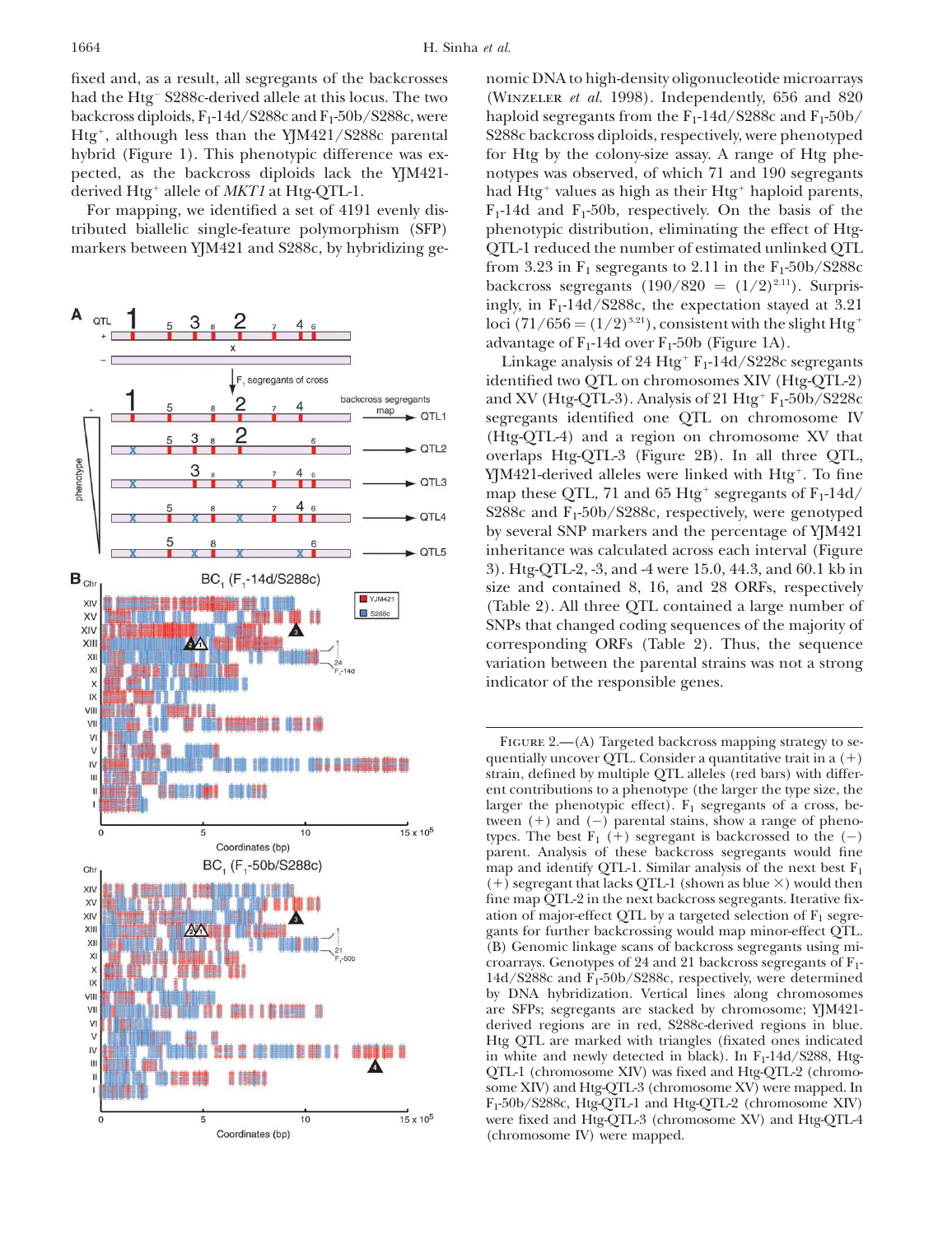fixed and, as a result, all segregants of the backcrosses had the Htg- S288c-derived allele at this locus. The two backcross diploids,  $F_1$ -14d/S288c and  $F_1$ -50b/S288c, were Htg<sup>+</sup>, although less than the YJM421/S288c parental hybrid (Figure 1). This phenotypic difference was expected, as the backcross diploids lack the YJM421 derived Htg<sup>+</sup> allele of MKT1 at Htg-QTL-1.

For mapping, we identified a set of 4191 evenly distributed biallelic single-feature polymorphism (SFP) markers between YJM421 and S288c, by hybridizing ge-



nomic DNA to high-density oligonucleotide microarrays (Winzeler *et al.* 1998). Independently, 656 and 820 haploid segregants from the  $F_1$ -14d/S288c and  $F_1$ -50b/ S288c backcross diploids, respectively, were phenotyped for Htg by the colony-size assay. A range of Htg phenotypes was observed, of which 71 and 190 segregants had Htg<sup>+</sup> values as high as their Htg<sup>+</sup> haploid parents,  $F_1$ -14d and  $F_1$ -50b, respectively. On the basis of the phenotypic distribution, eliminating the effect of Htg-QTL-1 reduced the number of estimated unlinked QTL from 3.23 in  $F_1$  segregants to 2.11 in the  $F_1$ -50b/S288c backcross segregants  $(190/820 = (1/2)^{2.11})$ . Surprisingly, in  $F_1$ -14d/S288c, the expectation stayed at 3.21 loci (71/656 =  $(1/2)^{3.21}$ ), consistent with the slight Htg<sup>+</sup> advantage of  $F_1$ -14d over  $F_1$ -50b (Figure 1A).

Linkage analysis of  $24 \text{ Htg}^+ \text{ F}_1$ -14d/S228c segregants identified two QTL on chromosomes XIV (Htg-QTL-2) and XV (Htg-QTL-3). Analysis of 21 Htg<sup>+</sup>  $F_1$ -50b/S228c segregants identified one QTL on chromosome IV (Htg-QTL-4) and a region on chromosome XV that overlaps Htg-QTL-3 (Figure 2B). In all three QTL, YJM421-derived alleles were linked with Htg<sup>+</sup>. To fine map these QTL, 71 and 65 Htg<sup>+</sup> segregants of  $\rm F_1\text{-}14d/$ S288c and F1-50b/S288c, respectively, were genotyped by several SNP markers and the percentage of YJM421 inheritance was calculated across each interval (Figure 3). Htg-QTL-2, -3, and -4 were 15.0, 44.3, and 60.1 kb in size and contained 8, 16, and 28 ORFs, respectively (Table 2). All three QTL contained a large number of SNPs that changed coding sequences of the majority of corresponding ORFs (Table 2). Thus, the sequence variation between the parental strains was not a strong indicator of the responsible genes.

FIGURE 2.—(A) Targeted backcross mapping strategy to sequentially uncover QTL. Consider a quantitative trait in a  $(+)$ strain, defined by multiple QTL alleles (red bars) with different contributions to a phenotype (the larger the type size, the larger the phenotypic effect).  $F_1$  segregants of a cross, between  $(+)$  and  $(-)$  parental stains, show a range of phenotypes. The best  $F_1$  (+) segregant is backcrossed to the (-) parent. Analysis of these backcross segregants would fine map and identify QTL-1. Similar analysis of the next best  $F_1$ (+) segregant that lacks QTL-1 (shown as blue  $\times$ ) would then fine map QTL-2 in the next backcross segregants. Iterative fixation of major-effect QTL by a targeted selection of  $F_1$  segregants for further backcrossing would map minor-effect QTL. (B) Genomic linkage scans of backcross segregants using microarrays. Genotypes of 24 and 21 backcross segregants of  $F_1$ - $14d/S288c$  and  $F_1$ -50b/S288c, respectively, were determined by DNA hybridization. Vertical lines along chromosomes are SFPs; segregants are stacked by chromosome; YJM421 derived regions are in red, S288c-derived regions in blue. Htg QTL are marked with triangles (fixated ones indicated in white and newly detected in black). In  $F_1$ -14d/S288, Htg-QTL-1 (chromosome XIV) was fixed and Htg-QTL-2 (chromosome XIV) and Htg-QTL-3 (chromosome XV) were mapped. In F1-50b/S288c, Htg-QTL-1 and Htg-QTL-2 (chromosome XIV) were fixed and Htg-QTL-3 (chromosome XV) and Htg-QTL-4 (chromosome IV) were mapped.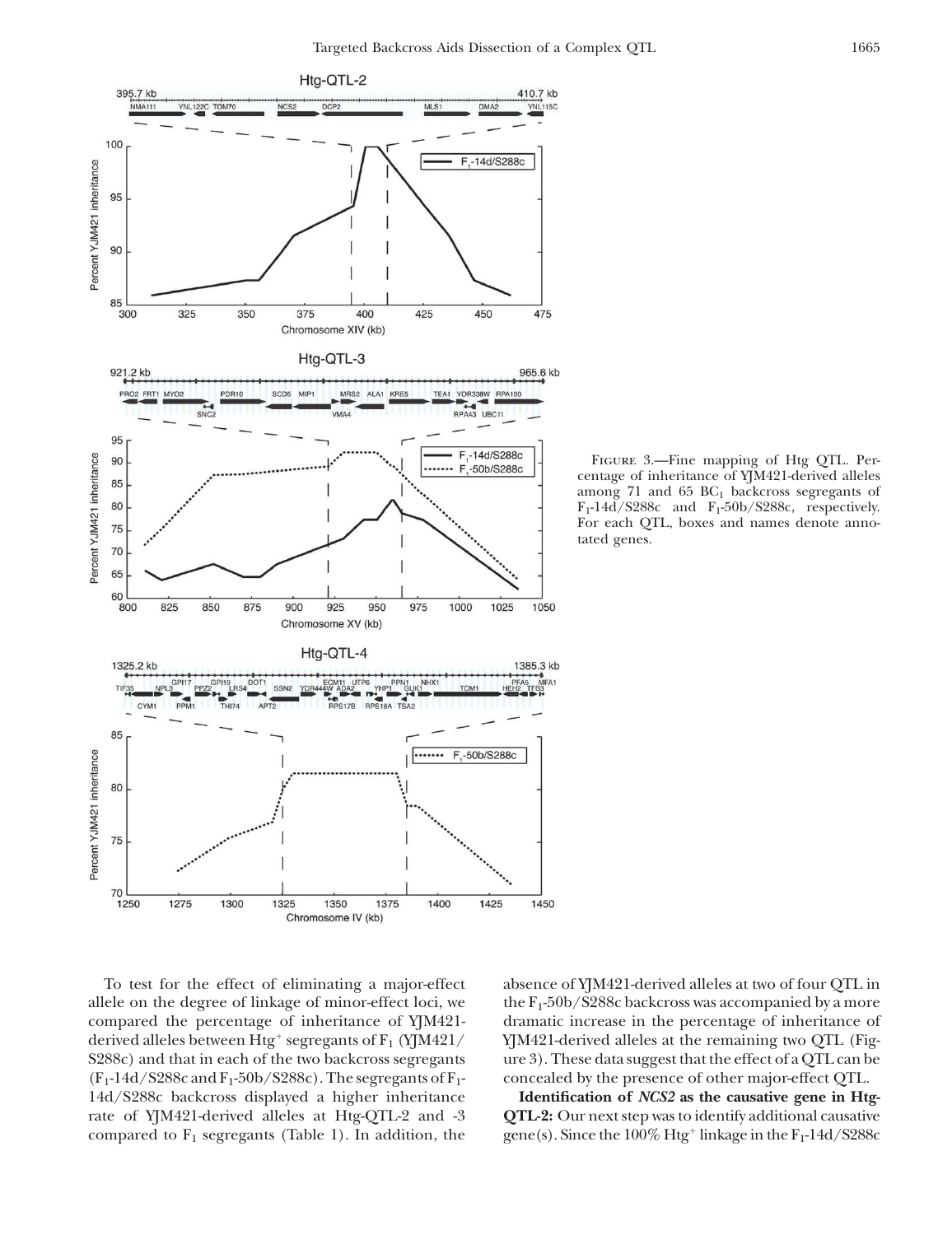

Figure 3.—Fine mapping of Htg QTL. Percentage of inheritance of YJM421-derived alleles among  $71$  and  $65$   $BC<sub>1</sub>$  backcross segregants of  $F_1$ -14d/S288c and  $F_1$ -50b/S288c, respectively. For each QTL, boxes and names denote annotated genes.

To test for the effect of eliminating a major-effect allele on the degree of linkage of minor-effect loci, we compared the percentage of inheritance of YJM421 derived alleles between  ${\rm Hig^+}$  segregants of  ${\rm F_1}$  (YJM421/ S288c) and that in each of the two backcross segregants  $(F_1-14d/S288c$  and  $F_1-50b/S288c$ ). The segregants of  $F_1-$ 14d/S288c backcross displayed a higher inheritance rate of YJM421-derived alleles at Htg-QTL-2 and -3 compared to  $F_1$  segregants (Table 1). In addition, the

absence of YJM421-derived alleles at two of four QTL in the  $F_1$ -50b/S288c backcross was accompanied by a more dramatic increase in the percentage of inheritance of YJM421-derived alleles at the remaining two QTL (Figure 3). These data suggest that the effect of a QTL can be concealed by the presence of other major-effect QTL.

Identification of NCS2 as the causative gene in Htg-QTL-2: Our next step was to identify additional causative  $\rm{gene}$ (s). Since the  $100\%$   $\rm{Htg^+}$  linkage in the F<sub>1</sub>-14d/S288c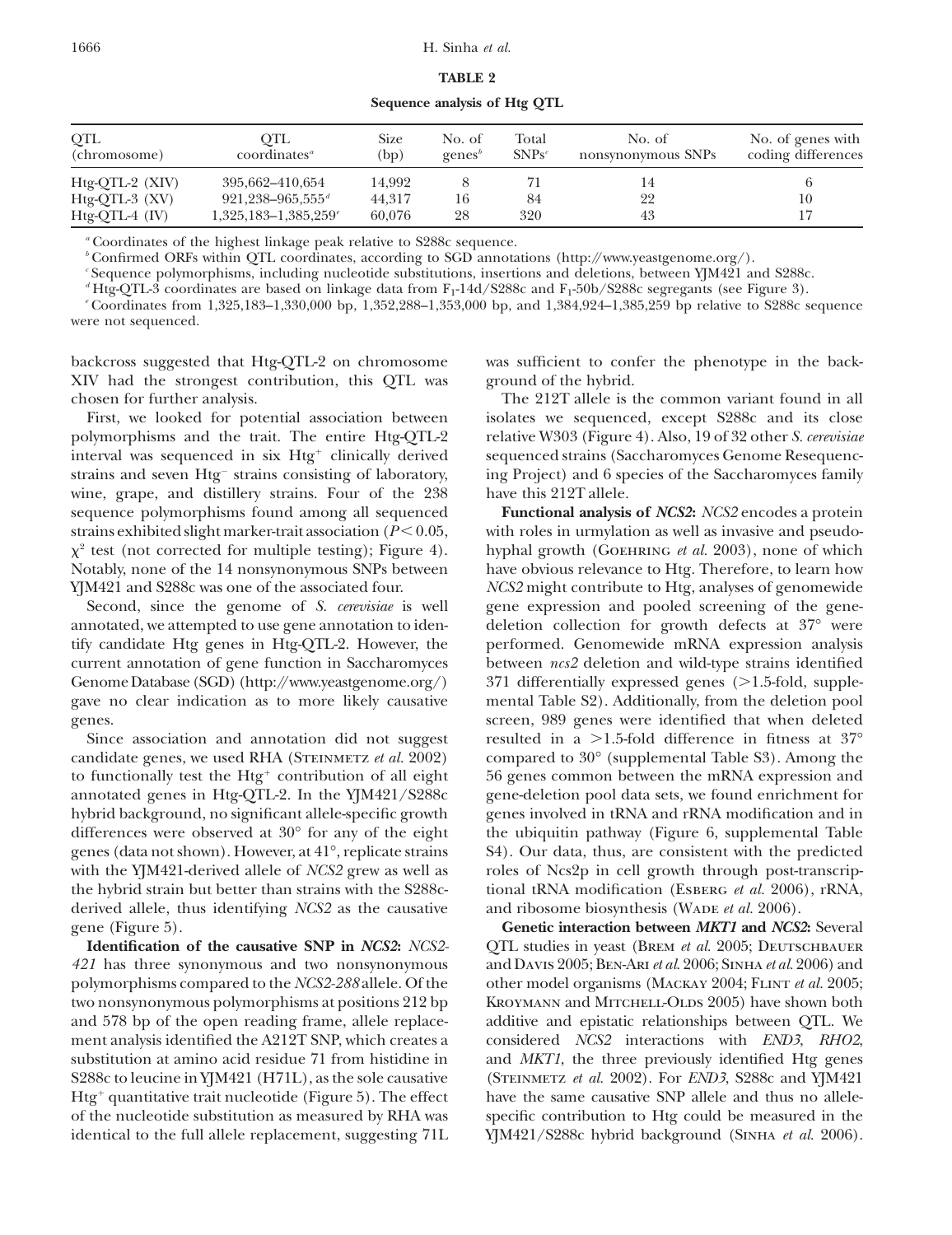| 1 A 1<br>DІ<br>Ani |
|--------------------|
|--------------------|

Sequence analysis of Htg QTL

| QTL<br>(chromosome) | OTL<br>coordinates <sup>a</sup> | <b>Size</b><br>(bp) | No. of<br>$genes^b$ | Total<br>$SNPs^c$ | No. of<br>nonsynonymous SNPs | No. of genes with<br>coding differences |
|---------------------|---------------------------------|---------------------|---------------------|-------------------|------------------------------|-----------------------------------------|
| $Htg-QTL-2$ $(XIV)$ | 395,662–410,654                 | 14.992              |                     |                   |                              |                                         |
| $Htg-QTL-3$ $(XV)$  | $921,238 - 965,555^{\circ}$     | 44.317              | 16                  | 84                | 22                           | 10                                      |
| $Htg$ -OTL-4 (IV)   | $1,325,183 - 1,385,259$         | 60.076              | 28                  | 320               | 43                           |                                         |

Coordinates of the highest linkage peak relative to S288c sequence.

*<sup>b</sup>* Confirmed ORFs within QTL coordinates, according to SGD annotations (http://www.yeastgenome.org/).

*c* Sequence polymorphisms, including nucleotide substitutions, insertions and deletions, between YJM421 and S288c.

<sup>*d*</sup> Htg-QTL-3 coordinates are based on linkage data from  $F_1$ -14d/S288c and  $F_1$ -50b/S288c segregants (see Figure 3).

*<sup>e</sup>* Coordinates from 1,325,183–1,330,000 bp, 1,352,288–1,353,000 bp, and 1,384,924–1,385,259 bp relative to S288c sequence were not sequenced.

backcross suggested that Htg-QTL-2 on chromosome XIV had the strongest contribution, this QTL was chosen for further analysis.

First, we looked for potential association between polymorphisms and the trait. The entire Htg-QTL-2 interval was sequenced in six Htg<sup>+</sup> clinically derived strains and seven Htg<sup>-</sup> strains consisting of laboratory, wine, grape, and distillery strains. Four of the 238 sequence polymorphisms found among all sequenced strains exhibited slight marker-trait association ( $P < 0.05$ ,  $\chi^2$  test (not corrected for multiple testing); Figure 4). Notably, none of the 14 nonsynonymous SNPs between YJM421 and S288c was one of the associated four.

Second, since the genome of *S. cerevisiae* is well annotated, we attempted to use gene annotation to identify candidate Htg genes in Htg-QTL-2. However, the current annotation of gene function in Saccharomyces Genome Database (SGD) (http://www.yeastgenome.org/) gave no clear indication as to more likely causative genes.

Since association and annotation did not suggest candidate genes, we used RHA (STEINMETZ et al. 2002) to functionally test the Htg<sup>+</sup> contribution of all eight annotated genes in Htg-QTL-2. In the YJM421/S288c hybrid background, no significant allele-specific growth differences were observed at  $30^{\circ}$  for any of the eight genes (data not shown). However, at  $41^\circ$ , replicate strains with the YJM421-derived allele of *NCS2* grew as well as the hybrid strain but better than strains with the S288cderived allele, thus identifying *NCS2* as the causative gene (Figure 5).

Identification of the causative SNP in NCS2: *NCS2- 421* has three synonymous and two nonsynonymous polymorphisms compared to the*NCS2-288* allele. Of the two nonsynonymous polymorphisms at positions 212 bp and 578 bp of the open reading frame, allele replacement analysis identified the A212T SNP, which creates a substitution at amino acid residue 71 from histidine in S288c to leucine in YJM421 (H71L), as the sole causative  $Htg<sup>+</sup>$  quantitative trait nucleotide (Figure 5). The effect of the nucleotide substitution as measured by RHA was identical to the full allele replacement, suggesting 71L was sufficient to confer the phenotype in the background of the hybrid.

The 212T allele is the common variant found in all isolates we sequenced, except S288c and its close relative W303 (Figure 4). Also, 19 of 32 other *S. cerevisiae* sequenced strains (Saccharomyces Genome Resequencing Project) and 6 species of the Saccharomyces family have this 212T allele.

Functional analysis of NCS2: *NCS2* encodes a protein with roles in urmylation as well as invasive and pseudohyphal growth (GOEHRING *et al.* 2003), none of which have obvious relevance to Htg. Therefore, to learn how *NCS2* might contribute to Htg, analyses of genomewide gene expression and pooled screening of the genedeletion collection for growth defects at  $37^\circ$  were performed. Genomewide mRNA expression analysis between *ncs2* deletion and wild-type strains identified  $371$  differentially expressed genes ( $>1.5$ -fold, supplemental Table S2). Additionally, from the deletion pool screen, 989 genes were identified that when deleted resulted in a  $>1.5$ -fold difference in fitness at 37 $^{\circ}$ compared to  $30^{\circ}$  (supplemental Table S3). Among the 56 genes common between the mRNA expression and gene-deletion pool data sets, we found enrichment for genes involved in tRNA and rRNA modification and in the ubiquitin pathway (Figure 6, supplemental Table S4). Our data, thus, are consistent with the predicted roles of Ncs2p in cell growth through post-transcriptional tRNA modification (Esberg *et al.* 2006), rRNA, and ribosome biosynthesis (WADE *et al.* 2006).

Genetic interaction between MKT1 and NCS2: Several QTL studies in yeast (BREM *et al.* 2005; DEUTSCHBAUER and Davis 2005; Ben-Ari*et al.* 2006; Sinha *et al.* 2006) and other model organisms (MACKAY 2004; FLINT *et al.* 2005; KROYMANN and MITCHELL-OLDS 2005) have shown both additive and epistatic relationships between QTL. We considered *NCS2* interactions with *END3*, *RHO2*, and *MKT1*, the three previously identified Htg genes (Steinmetz *et al.* 2002). For *END3*, S288c and YJM421 have the same causative SNP allele and thus no allelespecific contribution to Htg could be measured in the YJM421/S288c hybrid background (Sinha *et al.* 2006).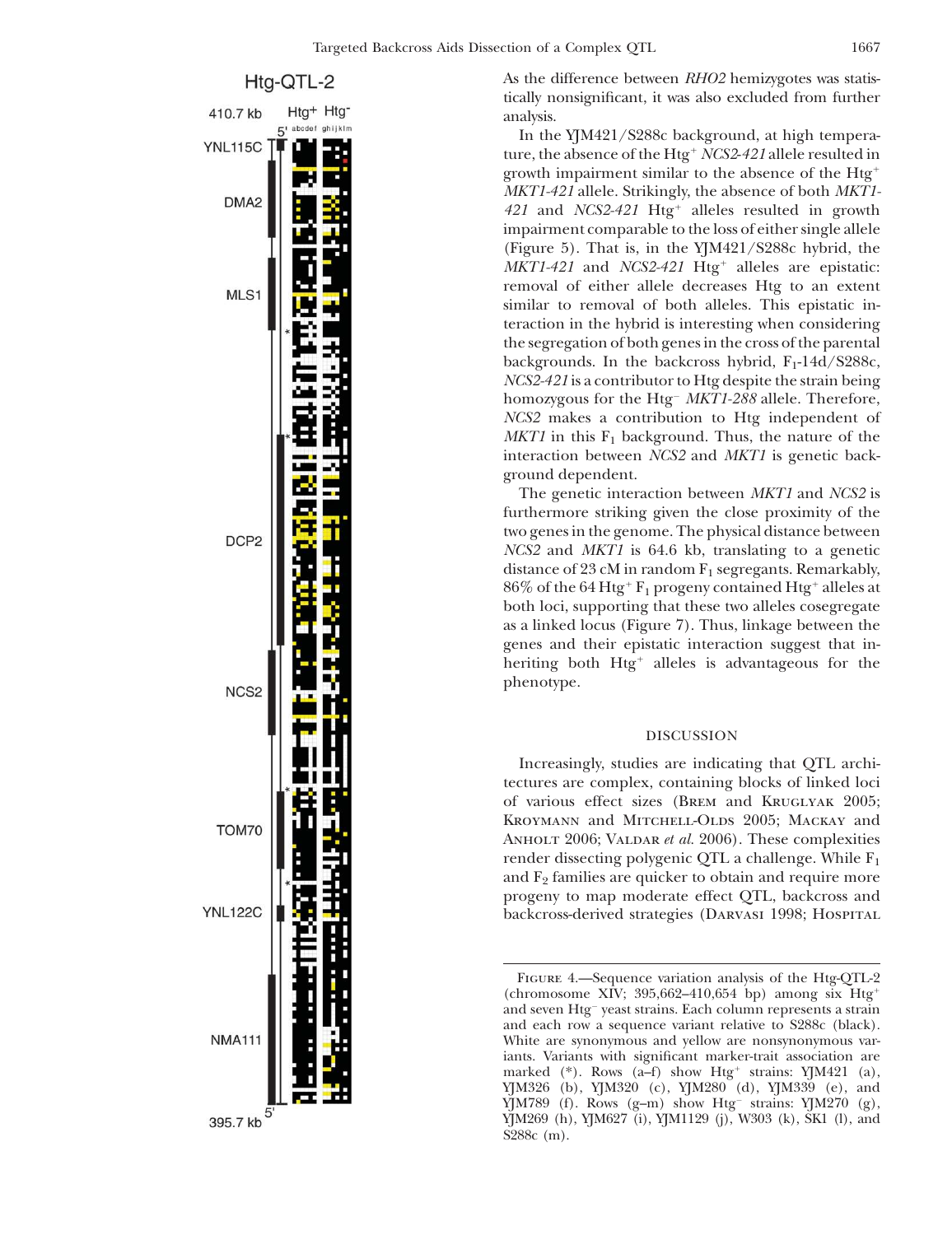

As the difference between *RHO2* hemizygotes was statistically nonsignificant, it was also excluded from further analysis.

In the YJM421/S288c background, at high temperature, the absence of the Htg<sup>+</sup> *NCS2-421* allele resulted in growth impairment similar to the absence of the  $Htg^+$ *MKT1-421* allele. Strikingly, the absence of both *MKT1-* 421 and *NCS2-421* Htg<sup>+</sup> alleles resulted in growth impairment comparable to the loss of either single allele (Figure 5). That is, in the YJM421/S288c hybrid, the *MKT1-421* and *NCS2-421* Htg<sup>+</sup> alleles are epistatic: removal of either allele decreases Htg to an extent similar to removal of both alleles. This epistatic interaction in the hybrid is interesting when considering the segregation of both genes in the cross of the parental backgrounds. In the backcross hybrid,  $F_1$ -14d/S288c, *NCS2-421* is a contributor to Htg despite the strain being homozygous for the Htg- *MKT1-288* allele. Therefore, *NCS2* makes a contribution to Htg independent of *MKT1* in this  $F_1$  background. Thus, the nature of the interaction between *NCS2* and *MKT1* is genetic background dependent.

The genetic interaction between *MKT1* and *NCS2* is furthermore striking given the close proximity of the two genes in the genome. The physical distance between *NCS2* and *MKT1* is 64.6 kb, translating to a genetic distance of 23 cM in random  $F_1$  segregants. Remarkably,  $86\%$  of the  $64\,\mathrm{Hg^+}\,\mathrm{F}_1$  progeny contained  $\mathrm{Hg^+}$  alleles at both loci, supporting that these two alleles cosegregate as a linked locus (Figure 7). Thus, linkage between the genes and their epistatic interaction suggest that inheriting both  $Htg^+$  alleles is advantageous for the phenotype.

### DISCUSSION

Increasingly, studies are indicating that QTL architectures are complex, containing blocks of linked loci of various effect sizes (Brem and Kruglyak 2005; Kroymann and Mitchell-Olds 2005; Mackay and ANHOLT 2006; VALDAR *et al.* 2006). These complexities render dissecting polygenic QTL a challenge. While  $F_1$ and  $F_2$  families are quicker to obtain and require more progeny to map moderate effect QTL, backcross and backcross-derived strategies (DARVASI 1998; HOSPITAL

Figure 4.—Sequence variation analysis of the Htg-QTL-2 (chromosome XIV; 395,662–410,654 bp) among six  $Htg^+$ and seven Htg<sup>-</sup> yeast strains. Each column represents a strain and each row a sequence variant relative to S288c (black). White are synonymous and yellow are nonsynonymous variants. Variants with significant marker-trait association are marked (\*). Rows (a-f) show Htg<sup>+</sup> strains: YJM421 (a), YJM326 (b), YJM320 (c), YJM280 (d), YJM339 (e), and YJM789 (f). Rows (g-m) show Htg<sup>-</sup> strains: YJM270 (g), YJM269 (h), YJM627 (i), YJM1129 (j), W303 (k), SK1 (l), and S288c (m).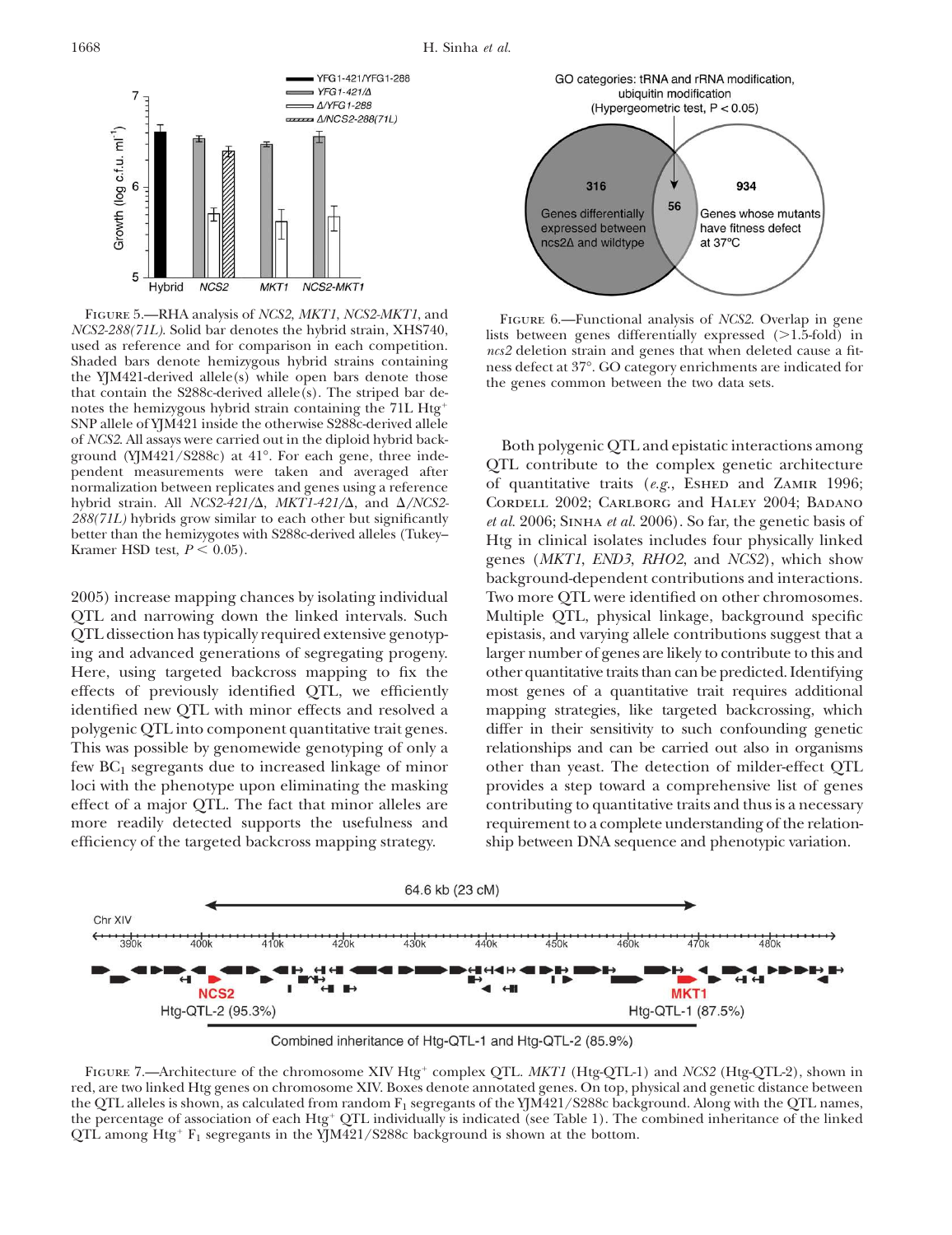

Figure 5.—RHA analysis of *NCS2*, *MKT1*, *NCS2-MKT1*, and *NCS2-288(71L)*. Solid bar denotes the hybrid strain, XHS740, used as reference and for comparison in each competition. Shaded bars denote hemizygous hybrid strains containing the YJM421-derived allele(s) while open bars denote those that contain the S288c-derived allele(s). The striped bar denotes the hemizygous hybrid strain containing the  $71L Htg<sup>+</sup>$ SNP allele of YJM421 inside the otherwise S288c-derived allele of *NCS2*. All assays were carried out in the diploid hybrid background (YJM421/S288c) at  $41^\circ$ . For each gene, three independent measurements were taken and averaged after normalization between replicates and genes using a reference hybrid strain. All *NCS2-421/*D, *MKT1-421/*D, and D*/NCS2- 288(71L)* hybrids grow similar to each other but significantly better than the hemizygotes with S288c-derived alleles (Tukey– Kramer HSD test,  $P < 0.05$ ).

2005) increase mapping chances by isolating individual QTL and narrowing down the linked intervals. Such QTL dissection has typically required extensive genotyping and advanced generations of segregating progeny. Here, using targeted backcross mapping to fix the effects of previously identified QTL, we efficiently identified new QTL with minor effects and resolved a polygenic QTL into component quantitative trait genes. This was possible by genomewide genotyping of only a few BC<sup>1</sup> segregants due to increased linkage of minor loci with the phenotype upon eliminating the masking effect of a major QTL. The fact that minor alleles are more readily detected supports the usefulness and efficiency of the targeted backcross mapping strategy.



Figure 6.—Functional analysis of *NCS2*. Overlap in gene lists between genes differentially expressed  $(>1.5-fold)$  in *ncs2* deletion strain and genes that when deleted cause a fitness defect at 37°. GO category enrichments are indicated for the genes common between the two data sets.

Both polygenic QTL and epistatic interactions among QTL contribute to the complex genetic architecture of quantitative traits (*e.g.*, Eshed and Zamir 1996; CORDELL 2002; CARLBORG and HALEY 2004; BADANO *et al.* 2006; Sinha *et al.* 2006). So far, the genetic basis of Htg in clinical isolates includes four physically linked genes (*MKT1*, *END3*, *RHO2*, and *NCS2*), which show background-dependent contributions and interactions. Two more QTL were identified on other chromosomes. Multiple QTL, physical linkage, background specific epistasis, and varying allele contributions suggest that a larger number of genes are likely to contribute to this and other quantitative traits than can be predicted. Identifying most genes of a quantitative trait requires additional mapping strategies, like targeted backcrossing, which differ in their sensitivity to such confounding genetic relationships and can be carried out also in organisms other than yeast. The detection of milder-effect QTL provides a step toward a comprehensive list of genes contributing to quantitative traits and thus is a necessary requirement to a complete understanding of the relationship between DNA sequence and phenotypic variation.



FIGURE 7.—Architecture of the chromosome XIV Htg<sup>+</sup> complex QTL. *MKT1* (Htg-QTL-1) and *NCS2* (Htg-QTL-2), shown in red, are two linked Htg genes on chromosome XIV. Boxes denote annotated genes. On top, physical and genetic distance between the QTL alleles is shown, as calculated from random  $F_1$  segregants of the YJM421/S288c background. Along with the QTL names, the percentage of association of each Htg<sup>+</sup> QTL individually is indicated (see Table 1). The combined inheritance of the linked  $QTL$  among  $Htg^+ F_1$  segregants in the YJM421/S288c background is shown at the bottom.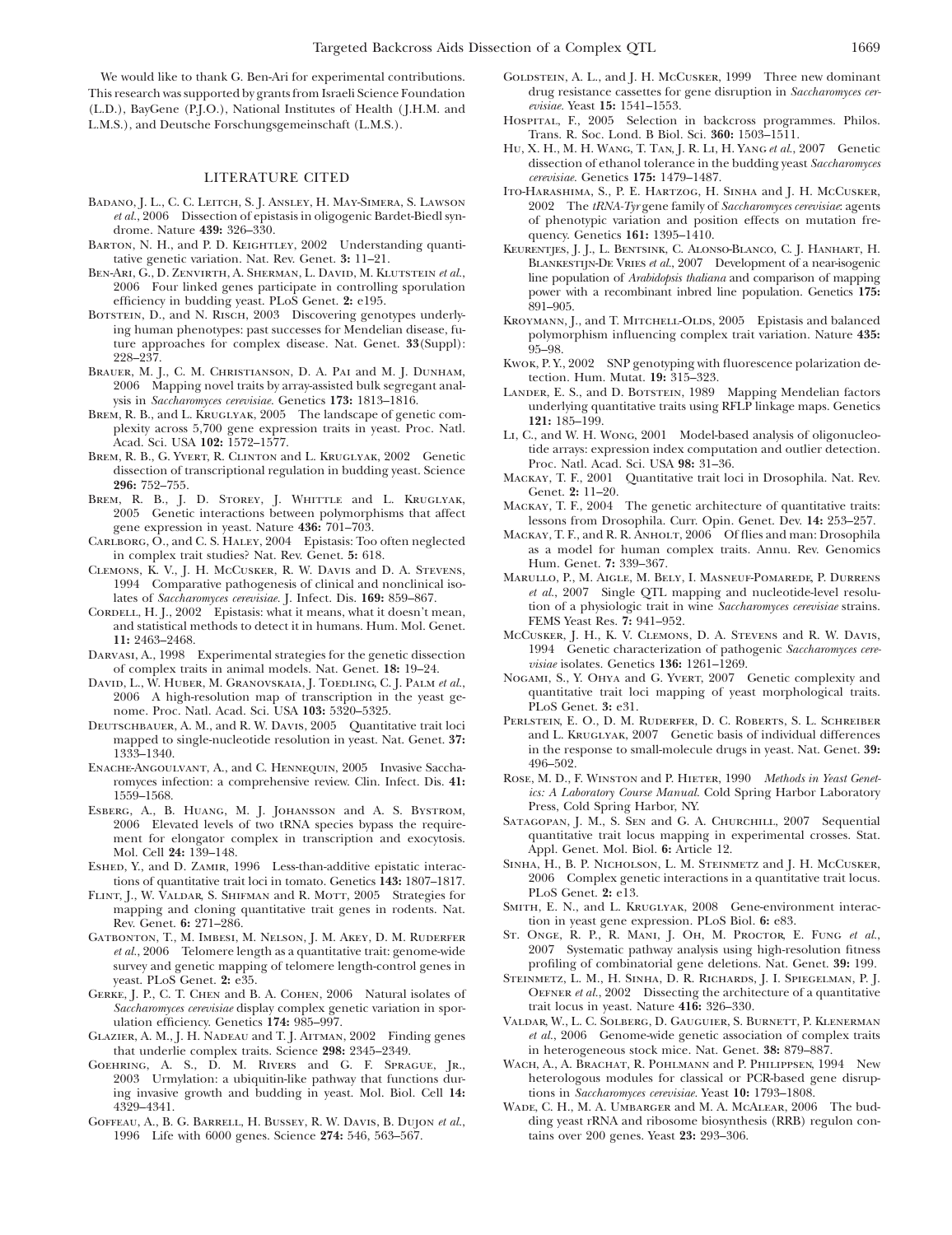We would like to thank G. Ben-Ari for experimental contributions. This research was supported by grants from Israeli Science Foundation (L.D.), BayGene (P.J.O.), National Institutes of Health ( J.H.M. and L.M.S.), and Deutsche Forschungsgemeinschaft (L.M.S.).

### LITERATURE CITED

- Badano, J. L., C. C. Leitch, S. J. Ansley, H. May-Simera, S. Lawson *et al.*, 2006 Dissection of epistasis in oligogenic Bardet-Biedl syndrome. Nature 439: 326–330.
- BARTON, N. H., and P. D. KEIGHTLEY, 2002 Understanding quantitative genetic variation. Nat. Rev. Genet. 3: 11–21.
- Ben-Ari, G., D. Zenvirth, A. Sherman, L. David, M. Klutstein *et al.*, 2006 Four linked genes participate in controlling sporulation efficiency in budding yeast. PLoS Genet. 2: e195.
- BOTSTEIN, D., and N. RISCH, 2003 Discovering genotypes underlying human phenotypes: past successes for Mendelian disease, future approaches for complex disease. Nat. Genet. 33(Suppl): 228–237.
- Brauer, M. J., C. M. Christianson, D. A. Pai and M. J. Dunham, 2006 Mapping novel traits by array-assisted bulk segregant analysis in *Saccharomyces cerevisiae.* Genetics 173: 1813–1816.
- BREM, R. B., and L. KRUGLYAK, 2005 The landscape of genetic complexity across 5,700 gene expression traits in yeast. Proc. Natl. Acad. Sci. USA 102: 1572–1577.
- Brem, R. B., G. Yvert, R. Clinton and L. Kruglyak, 2002 Genetic dissection of transcriptional regulation in budding yeast. Science 296: 752–755.
- BREM, R. B., J. D. STOREY, J. WHITTLE and L. KRUGLYAK, 2005 Genetic interactions between polymorphisms that affect gene expression in yeast. Nature 436: 701-703.
- Carlborg, O., and C. S. Haley, 2004 Epistasis: Too often neglected in complex trait studies? Nat. Rev. Genet. 5: 618.
- Clemons, K. V., J. H. McCusker, R. W. Davis and D. A. Stevens, 1994 Comparative pathogenesis of clinical and nonclinical isolates of *Saccharomyces cerevisiae.* J. Infect. Dis. 169: 859–867.
- CORDELL, H. J., 2002 Epistasis: what it means, what it doesn't mean, and statistical methods to detect it in humans. Hum. Mol. Genet. 11: 2463–2468.
- Darvasi, A., 1998 Experimental strategies for the genetic dissection of complex traits in animal models. Nat. Genet. 18: 19–24.
- David, L., W. Huber, M. Granovskaia, J. Toedling, C. J. Palm *et al.*, 2006 A high-resolution map of transcription in the yeast genome. Proc. Natl. Acad. Sci. USA 103: 5320–5325.
- Deutschbauer, A. M., and R. W. Davis, 2005 Quantitative trait loci mapped to single-nucleotide resolution in yeast. Nat. Genet. 37: 1333–1340.
- Enache-Angoulvant, A., and C. Hennequin, 2005 Invasive Saccharomyces infection: a comprehensive review. Clin. Infect. Dis. 41: 1559–1568.
- Esberg, A., B. Huang, M. J. Johansson and A. S. Bystrom, 2006 Elevated levels of two tRNA species bypass the requirement for elongator complex in transcription and exocytosis. Mol. Cell 24: 139–148.
- ESHED, Y., and D. ZAMIR, 1996 Less-than-additive epistatic interactions of quantitative trait loci in tomato. Genetics 143: 1807–1817.
- FLINT, J., W. VALDAR, S. SHIFMAN and R. MOTT, 2005 Strategies for mapping and cloning quantitative trait genes in rodents. Nat. Rev. Genet. 6: 271–286.
- Gatbonton, T., M. Imbesi, M. Nelson, J. M. Akey, D. M. Ruderfer *et al.*, 2006 Telomere length as a quantitative trait: genome-wide survey and genetic mapping of telomere length-control genes in yeast. PLoS Genet. 2: e35.
- Gerke, J. P., C. T. Chen and B. A. Cohen, 2006 Natural isolates of *Saccharomyces cerevisiae* display complex genetic variation in sporulation efficiency. Genetics 174: 985–997.
- Glazier, A. M., J. H. Nadeau and T. J. Aitman, 2002 Finding genes that underlie complex traits. Science 298: 2345–2349.
- Goehring, A. S., D. M. Rivers and G. F. Sprague, Jr., 2003 Urmylation: a ubiquitin-like pathway that functions during invasive growth and budding in yeast. Mol. Biol. Cell 14: 4329–4341.
- Goffeau, A., B. G. Barrell, H. Bussey, R. W. Davis, B. Dujon *et al.*, 1996 Life with 6000 genes. Science 274: 546, 563–567.
- GOLDSTEIN, A. L., and J. H. McCusker, 1999 Three new dominant drug resistance cassettes for gene disruption in *Saccharomyces cerevisiae.* Yeast 15: 1541–1553.
- HOSPITAL, F., 2005 Selection in backcross programmes. Philos. Trans. R. Soc. Lond. B Biol. Sci. 360: 1503–1511.
- Hu, X. H., M. H. Wang, T. Tan, J. R. Li, H. Yang*et al.*, 2007 Genetic dissection of ethanol tolerance in the budding yeast *Saccharomyces cerevisiae.* Genetics 175: 1479–1487.
- Ito-Harashima, S., P. E. Hartzog, H. Sinha and J. H. McCusker, 2002 The *tRNA-Tyr* gene family of *Saccharomyces cerevisiae*: agents of phenotypic variation and position effects on mutation frequency. Genetics 161: 1395–1410.
- Keurentjes, J. J., L. Bentsink, C. Alonso-Blanco, C. J. Hanhart, H. BLANKESTIJN-DE VRIES *et al.*, 2007 Development of a near-isogenic line population of *Arabidopsis thaliana* and comparison of mapping power with a recombinant inbred line population. Genetics 175: 891–905.
- KROYMANN, J., and T. MITCHELL-OLDS, 2005 Epistasis and balanced polymorphism influencing complex trait variation. Nature 435: 95–98.
- KWOK, P. Y., 2002 SNP genotyping with fluorescence polarization detection. Hum. Mutat. 19: 315–323.
- LANDER, E. S., and D. BOTSTEIN, 1989 Mapping Mendelian factors underlying quantitative traits using RFLP linkage maps. Genetics 121: 185–199.
- Li, C., and W. H. Wong, 2001 Model-based analysis of oligonucleotide arrays: expression index computation and outlier detection. Proc. Natl. Acad. Sci. USA 98: 31–36.
- MACKAY, T. F., 2001 Ouantitative trait loci in Drosophila. Nat. Rev. Genet. 2: 11–20.
- MACKAY, T. F., 2004 The genetic architecture of quantitative traits: lessons from Drosophila. Curr. Opin. Genet. Dev. 14: 253–257.
- MACKAY, T. F., and R. R. ANHOLT, 2006 Of flies and man: Drosophila as a model for human complex traits. Annu. Rev. Genomics Hum. Genet. 7: 339–367.
- Marullo, P., M. Aigle, M. Bely, I. Masneuf-Pomarede, P. Durrens *et al.*, 2007 Single QTL mapping and nucleotide-level resolution of a physiologic trait in wine *Saccharomyces cerevisiae* strains. FEMS Yeast Res. 7: 941–952.
- McCusker, J. H., K. V. Clemons, D. A. Stevens and R. W. Davis, 1994 Genetic characterization of pathogenic *Saccharomyces cerevisiae* isolates. Genetics 136: 1261–1269.
- NOGAMI, S., Y. OHYA and G. YVERT, 2007 Genetic complexity and quantitative trait loci mapping of yeast morphological traits. PLoS Genet. 3: e31.
- Perlstein, E. O., D. M. Ruderfer, D. C. Roberts, S. L. Schreiber and L. KRUGLYAK, 2007 Genetic basis of individual differences in the response to small-molecule drugs in yeast. Nat. Genet. 39: 496–502.
- ROSE, M. D., F. WINSTON and P. HIETER, 1990 *Methods in Yeast Genetics: A Laboratory Course Manual.* Cold Spring Harbor Laboratory Press, Cold Spring Harbor, NY.
- SATAGOPAN, J. M., S. SEN and G. A. CHURCHILL, 2007 Sequential quantitative trait locus mapping in experimental crosses. Stat. Appl. Genet. Mol. Biol. 6: Article 12.
- Sinha, H., B. P. Nicholson, L. M. Steinmetz and J. H. McCusker, 2006 Complex genetic interactions in a quantitative trait locus. PLoS Genet. 2: e13.
- SMITH, E. N., and L. KRUGLYAK, 2008 Gene-environment interaction in yeast gene expression. PLoS Biol. 6: e83.
- St. Onge, R. P., R. Mani, J. Oh, M. Proctor, E. Fung *et al.*, 2007 Systematic pathway analysis using high-resolution fitness profiling of combinatorial gene deletions. Nat. Genet. 39: 199.
- Steinmetz, L. M., H. Sinha, D. R. Richards, J. I. Spiegelman, P. J. Oefner *et al.*, 2002 Dissecting the architecture of a quantitative trait locus in yeast. Nature 416: 326–330.
- Valdar, W., L. C. Solberg, D. Gauguier, S. Burnett, P. Klenerman *et al.*, 2006 Genome-wide genetic association of complex traits in heterogeneous stock mice. Nat. Genet. 38: 879–887.
- WACH, A., A. BRACHAT, R. POHLMANN and P. PHILIPPSEN, 1994 New heterologous modules for classical or PCR-based gene disruptions in *Saccharomyces cerevisiae.* Yeast 10: 1793–1808.
- Wade, C. H., M. A. Umbarger and M. A. McAlear, 2006 The budding yeast rRNA and ribosome biosynthesis (RRB) regulon contains over 200 genes. Yeast 23: 293–306.